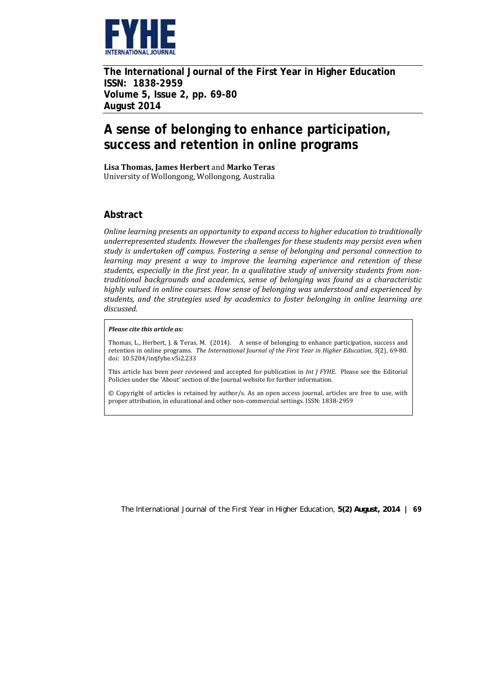

**The International Journal of the First Year in Higher Education ISSN: 1838-2959 Volume 5, Issue 2, pp. 69-80 August 2014** 

# **A sense of belonging to enhance participation, success and retention in online programs**

**Lisa Thomas, James Herbert** and **Marko Teras**  University of Wollongong, Wollongong, Australia

# **Abstract**

*Online learning presents an opportunity to expand access to higher education to traditionally underrepresented students. However the challenges for these students may persist even when study is undertaken off campus. Fostering a sense of belonging and personal connection to learning may present a way to improve the learning experience and retention of these students, especially in the first year. In a qualitative study of university students from non‐ traditional backgrounds and academics, sense of belonging was found as a characteristic highly valued in online courses. How sense of belonging was understood and experienced by students, and the strategies used by academics to foster belonging in online learning are discussed.*

#### *Please cite this article as:*

Thomas, L., Herbert, J. & Teras, M. (2014). A sense of belonging to enhance participation, success and retention in online programs. *The International Journal of the First Year in Higher Education, 5*(2), 69‐80. doi: 10.5204/intjfyhe.v5i2.233 

This article has been peer reviewed and accepted for publication in *Int J FYHE.* Please see the Editorial Policies under the 'About' section of the Journal website for further information.

© Copyright of articles is retained by author/s. As an open access journal, articles are free to use, with proper attribution, in educational and other non-commercial settings. ISSN: 1838-2959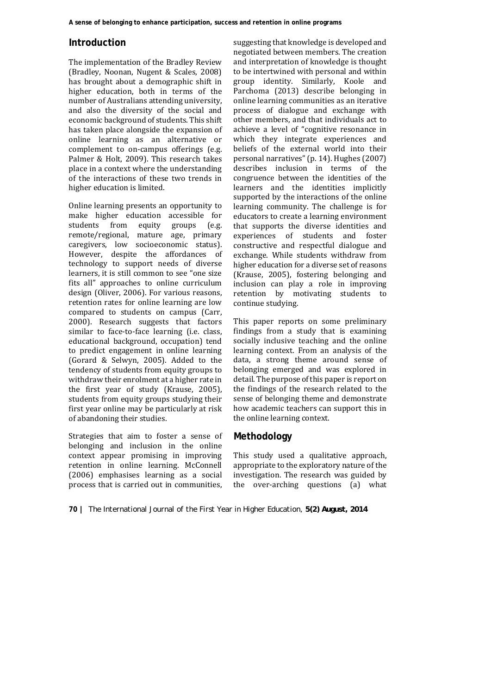## **Introduction**

The implementation of the Bradley Review (Bradley, Noonan, Nugent & Scales, 2008) has brought about a demographic shift in higher education, both in terms of the number of Australians attending university, and also the diversity of the social and economic background of students. This shift has taken place alongside the expansion of online learning as an alternative or complement to on-campus offerings (e.g. Palmer & Holt, 2009). This research takes place in a context where the understanding of the interactions of these two trends in higher education is limited.

Online learning presents an opportunity to make higher education accessible for students from equity groups (e.g. remote/regional, mature age, primary caregivers, low socioeconomic status). However, despite the affordances of technology to support needs of diverse learners, it is still common to see "one size fits all" approaches to online curriculum design (Oliver, 2006). For various reasons, retention rates for online learning are low compared to students on campus (Carr, 2000). Research suggests that factors similar to face-to-face learning (i.e. class, educational background, occupation) tend to predict engagement in online learning (Gorard & Selwyn, 2005). Added to the tendency of students from equity groups to withdraw their enrolment at a higher rate in the first year of study (Krause, 2005), students from equity groups studying their first year online may be particularly at risk of abandoning their studies.

Strategies that aim to foster a sense of belonging and inclusion in the online context appear promising in improving retention in online learning. McConnell  $(2006)$  emphasises learning as a social process that is carried out in communities,

suggesting that knowledge is developed and negotiated between members. The creation and interpretation of knowledge is thought to be intertwined with personal and within group identity. Similarly, Koole and Parchoma (2013) describe belonging in online learning communities as an iterative process of dialogue and exchange with other members, and that individuals act to achieve a level of "cognitive resonance in which they integrate experiences and beliefs of the external world into their personal narratives" (p. 14). Hughes (2007) describes inclusion in terms of the congruence between the identities of the learners and the identities implicitly supported by the interactions of the online learning community. The challenge is for educators to create a learning environment that supports the diverse identities and experiences of students and foster constructive and respectful dialogue and exchange. While students withdraw from higher education for a diverse set of reasons (Krause, 2005), fostering belonging and inclusion can play a role in improving retention by motivating students to continue studying.

This paper reports on some preliminary findings from a study that is examining socially inclusive teaching and the online learning context. From an analysis of the data, a strong theme around sense of belonging emerged and was explored in detail. The purpose of this paper is report on the findings of the research related to the sense of belonging theme and demonstrate how academic teachers can support this in the online learning context.

#### **Methodology**

This study used a qualitative approach, appropriate to the exploratory nature of the investigation. The research was guided by the over-arching questions (a) what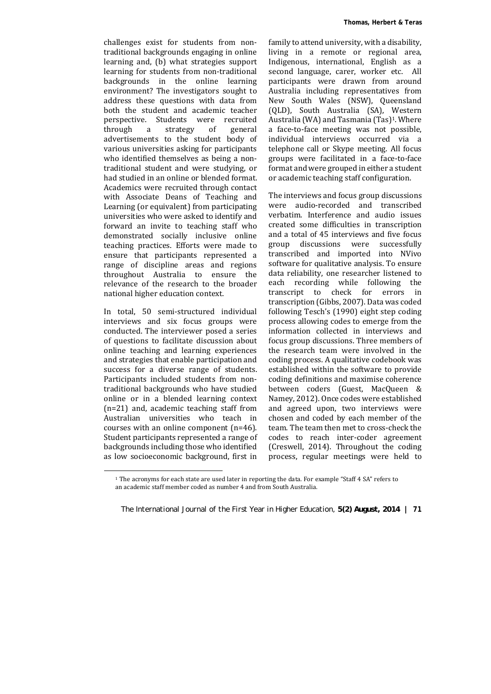challenges exist for students from nontraditional backgrounds engaging in online learning and, (b) what strategies support learning for students from non-traditional backgrounds in the online learning environment? The investigators sought to address these questions with data from both the student and academic teacher perspective. Students were recruited through a strategy of general advertisements to the student body of various universities asking for participants who identified themselves as being a nontraditional student and were studying, or had studied in an online or blended format. Academics were recruited through contact with Associate Deans of Teaching and Learning (or equivalent) from participating universities who were asked to identify and forward an invite to teaching staff who demonstrated socially inclusive online teaching practices. Efforts were made to ensure that participants represented a range of discipline areas and regions throughout Australia to ensure the relevance of the research to the broader national higher education context.

In total, 50 semi-structured individual interviews and six focus groups were conducted. The interviewer posed a series of questions to facilitate discussion about online teaching and learning experiences and strategies that enable participation and success for a diverse range of students. Participants included students from nontraditional backgrounds who have studied online or in a blended learning context  $(n=21)$  and, academic teaching staff from Australian universities who teach in courses with an online component  $(n=46)$ . Student participants represented a range of backgrounds including those who identified as low socioeconomic background, first in

family to attend university, with a disability, living in a remote or regional area, Indigenous, international, English as a second language, carer, worker etc. All participants were drawn from around Australia including representatives from New South Wales (NSW), Queensland (QLD), South Australia (SA), Western Australia (WA) and Tasmania (Tas)<sup>1</sup>. Where a face-to-face meeting was not possible, individual interviews occurred via a telephone call or Skype meeting. All focus groups were facilitated in a face-to-face format and were grouped in either a student or academic teaching staff configuration.

The interviews and focus group discussions were audio-recorded and transcribed verbatim. Interference and audio issues created some difficulties in transcription and a total of 45 interviews and five focus group discussions were successfully transcribed and imported into NVivo software for qualitative analysis. To ensure data reliability, one researcher listened to each recording while following the transcript to check for errors in transcription (Gibbs, 2007). Data was coded following Tesch's (1990) eight step coding process allowing codes to emerge from the information collected in interviews and focus group discussions. Three members of the research team were involved in the coding process. A qualitative codebook was established within the software to provide coding definitions and maximise coherence between coders (Guest, MacQueen & Namey, 2012). Once codes were established and agreed upon, two interviews were chosen and coded by each member of the team. The team then met to cross-check the codes to reach inter-coder agreement (Creswell, 2014). Throughout the coding process, regular meetings were held to

<sup>&</sup>lt;sup>1</sup> The acronyms for each state are used later in reporting the data. For example "Staff 4 SA" refers to an academic staff member coded as number 4 and from South Australia.

*The International Journal of the First Year in Higher Education, 5(2) August, 2014 |* **71**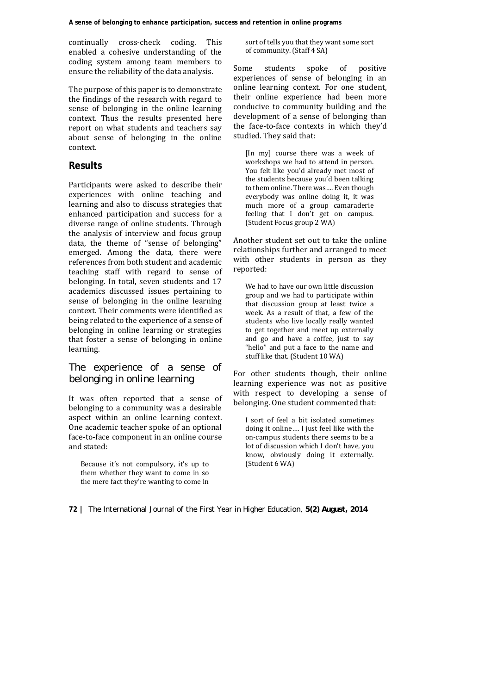continually cross-check coding. This enabled a cohesive understanding of the coding system among team members to ensure the reliability of the data analysis.

The purpose of this paper is to demonstrate the findings of the research with regard to sense of belonging in the online learning context. Thus the results presented here report on what students and teachers say about sense of belonging in the online context. 

## **Results**

Participants were asked to describe their experiences with online teaching and learning and also to discuss strategies that enhanced participation and success for a diverse range of online students. Through the analysis of interview and focus group data, the theme of "sense of belonging" emerged. Among the data, there were references from both student and academic teaching staff with regard to sense of belonging. In total, seven students and 17 academics discussed issues pertaining to sense of belonging in the online learning context. Their comments were identified as being related to the experience of a sense of belonging in online learning or strategies that foster a sense of belonging in online learning. 

## *The experience of a sense of belonging in online learning*

It was often reported that a sense of belonging to a community was a desirable aspect within an online learning context. One academic teacher spoke of an optional face-to-face component in an online course and stated: 

Because it's not compulsory, it's up to them whether they want to come in so the mere fact they're wanting to come in sort of tells you that they want some sort of community. (Staff 4 SA)

Some students spoke of positive experiences of sense of belonging in an online learning context. For one student, their online experience had been more conducive to community building and the development of a sense of belonging than the face-to-face contexts in which they'd studied. They said that:

[In my] course there was a week of workshops we had to attend in person. You felt like you'd already met most of the students because you'd been talking to them online. There was.... Even though everybody was online doing it, it was much more of a group camaraderie feeling that I don't get on campus. (Student Focus group 2 WA)

Another student set out to take the online relationships further and arranged to meet with other students in person as they reported: 

We had to have our own little discussion group and we had to participate within that discussion group at least twice a week. As a result of that, a few of the students who live locally really wanted to get together and meet up externally and go and have a coffee, just to say "hello" and put a face to the name and stuff like that. (Student 10 WA)

For other students though, their online learning experience was not as positive with respect to developing a sense of belonging. One student commented that:

I sort of feel a bit isolated sometimes doing it online.... I just feel like with the on-campus students there seems to be a lot of discussion which I don't have, you know, obviously doing it externally. (Student 6 WA)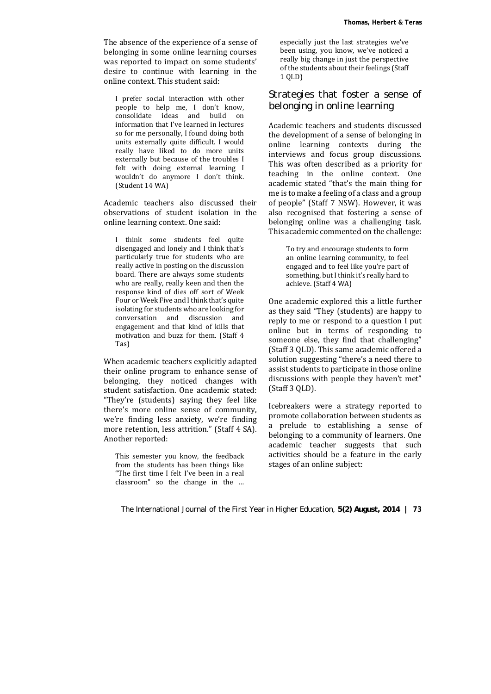The absence of the experience of a sense of belonging in some online learning courses was reported to impact on some students' desire to continue with learning in the online context. This student said:

I prefer social interaction with other people to help me, I don't know, consolidate ideas and build on information that I've learned in lectures so for me personally, I found doing both units externally quite difficult. I would really have liked to do more units externally but because of the troubles I felt with doing external learning I wouldn't do anymore I don't think. (Student 14 WA)

Academic teachers also discussed their observations of student isolation in the online learning context. One said:

I think some students feel quite disengaged and lonely and I think that's particularly true for students who are really active in posting on the discussion board. There are always some students who are really, really keen and then the response kind of dies off sort of Week Four or Week Five and I think that's quite isolating for students who are looking for conversation and discussion and engagement and that kind of kills that motivation and buzz for them. (Staff 4 Tas) 

When academic teachers explicitly adapted their online program to enhance sense of belonging, they noticed changes with student satisfaction. One academic stated: "They're (students) saying they feel like there's more online sense of community, we're finding less anxiety, we're finding more retention, less attrition." (Staff 4 SA). Another reported:

This semester you know, the feedback from the students has been things like "The first time I felt I've been in a real classroom" so the change in the ...

especially just the last strategies we've been using, you know, we've noticed a really big change in just the perspective of the students about their feelings (Staff 1 QLD) 

# *Strategies that foster a sense of belonging in online learning*

Academic teachers and students discussed the development of a sense of belonging in online learning contexts during the interviews and focus group discussions. This was often described as a priority for teaching in the online context. One academic stated "that's the main thing for me is to make a feeling of a class and a group of people" (Staff 7 NSW). However, it was also recognised that fostering a sense of belonging online was a challenging task. This academic commented on the challenge:

> To try and encourage students to form an online learning community, to feel engaged and to feel like you're part of something, but I think it's really hard to achieve. (Staff 4 WA)

One academic explored this a little further as they said "They (students) are happy to reply to me or respond to a question I put online but in terms of responding to someone else, they find that challenging" (Staff 3 OLD). This same academic offered a solution suggesting "there's a need there to assist students to participate in those online discussions with people they haven't met"  $(Staff 3 OLD)$ .

Icebreakers were a strategy reported to promote collaboration between students as a prelude to establishing a sense of belonging to a community of learners. One academic teacher suggests that such activities should be a feature in the early stages of an online subject: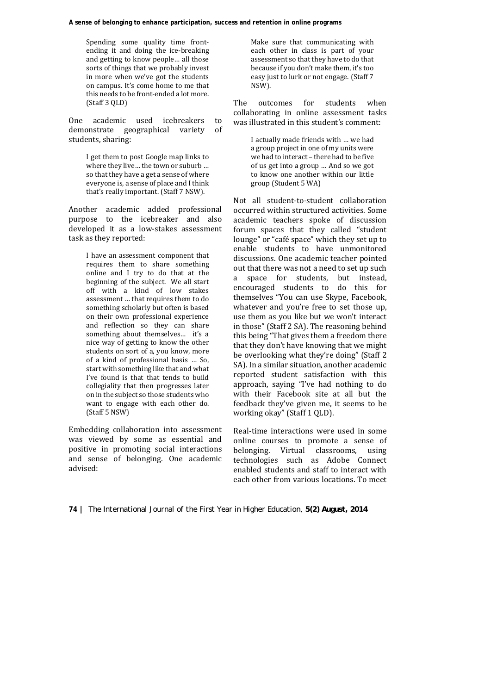Spending some quality time frontending it and doing the ice-breaking and getting to know people... all those sorts of things that we probably invest in more when we've got the students on campus. It's come home to me that this needs to be front-ended a lot more.  $(Staff 3 OLD)$ 

One academic used icebreakers to demonstrate geographical variety of students, sharing:

> I get them to post Google map links to where they live... the town or suburb ... so that they have a get a sense of where everyone is, a sense of place and I think that's really important. (Staff 7 NSW).

Another academic added professional purpose to the icebreaker and also developed it as a low-stakes assessment task as they reported:

> I have an assessment component that requires them to share something online and I try to do that at the beginning of the subject. We all start off with a kind of low stakes assessment ... that requires them to do something scholarly but often is based on their own professional experience and reflection so they can share something about themselves... it's a nice way of getting to know the other students on sort of a, you know, more of a kind of professional basis ... So, start with something like that and what I've found is that that tends to build collegiality that then progresses later on in the subject so those students who want to engage with each other do. (Staff 5 NSW)

Embedding collaboration into assessment was viewed by some as essential and positive in promoting social interactions and sense of belonging. One academic advised: 

Make sure that communicating with each other in class is part of your assessment so that they have to do that because if you don't make them, it's too easy just to lurk or not engage. (Staff 7 NSW). 

The outcomes for students when collaborating in online assessment tasks was illustrated in this student's comment:

> I actually made friends with ... we had a group project in one of my units were we had to interact - there had to be five of us get into a group ... And so we got to know one another within our little group (Student 5 WA)

Not all student-to-student collaboration occurred within structured activities. Some academic teachers spoke of discussion forum spaces that they called "student lounge" or "café space" which they set up to enable students to have unmonitored discussions. One academic teacher pointed out that there was not a need to set up such a space for students, but instead, encouraged students to do this for themselves "You can use Skype, Facebook, whatever and you're free to set those up, use them as you like but we won't interact in those" (Staff 2 SA). The reasoning behind this being "That gives them a freedom there that they don't have knowing that we might be overlooking what they're doing" (Staff 2 SA). In a similar situation, another academic reported student satisfaction with this approach, saying "I've had nothing to do with their Facebook site at all but the feedback they've given me, it seems to be working okay" (Staff 1 QLD).

Real-time interactions were used in some online courses to promote a sense of belonging. Virtual classrooms, using technologies such as Adobe Connect enabled students and staff to interact with each other from various locations. To meet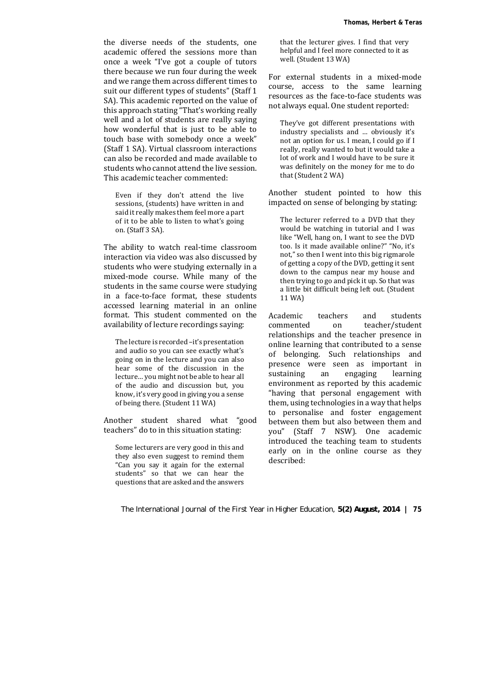the diverse needs of the students, one academic offered the sessions more than once a week "I've got a couple of tutors there because we run four during the week and we range them across different times to suit our different types of students" (Staff 1 SA). This academic reported on the value of this approach stating "That's working really well and a lot of students are really saying how wonderful that is just to be able to touch base with somebody once a week" (Staff 1 SA). Virtual classroom interactions can also be recorded and made available to students who cannot attend the live session. This academic teacher commented:

Even if they don't attend the live sessions, (students) have written in and said it really makes them feel more a part of it to be able to listen to what's going on. (Staff 3 SA).

The ability to watch real-time classroom interaction via video was also discussed by students who were studying externally in a mixed-mode course. While many of the students in the same course were studying in a face-to-face format, these students accessed learning material in an online format. This student commented on the availability of lecture recordings saying:

The lecture is recorded -it's presentation and audio so you can see exactly what's going on in the lecture and you can also hear some of the discussion in the lecture... you might not be able to hear all of the audio and discussion but, you know, it's very good in giving you a sense of being there. (Student 11 WA)

Another student shared what "good teachers" do to in this situation stating:

Some lecturers are very good in this and they also even suggest to remind them "Can you say it again for the external students" so that we can hear the questions that are asked and the answers

that the lecturer gives. I find that very helpful and I feel more connected to it as well. (Student 13 WA)

For external students in a mixed-mode course, access to the same learning resources as the face-to-face students was not always equal. One student reported:

They've got different presentations with industry specialists and ... obviously it's not an option for us. I mean, I could go if I really, really wanted to but it would take a lot of work and I would have to be sure it was definitely on the money for me to do that (Student 2 WA)

Another student pointed to how this impacted on sense of belonging by stating:

The lecturer referred to a DVD that they would be watching in tutorial and I was like "Well, hang on, I want to see the DVD too. Is it made available online?" "No, it's not," so then I went into this big rigmarole of getting a copy of the DVD, getting it sent down to the campus near my house and then trying to go and pick it up. So that was a little bit difficult being left out. (Student 11 WA) 

Academic teachers and students commented on teacher/student relationships and the teacher presence in online learning that contributed to a sense of belonging. Such relationships and presence were seen as important in sustaining an engaging learning environment as reported by this academic "having that personal engagement with them, using technologies in a way that helps to personalise and foster engagement between them but also between them and you" (Staff 7 NSW). One academic introduced the teaching team to students early on in the online course as they described: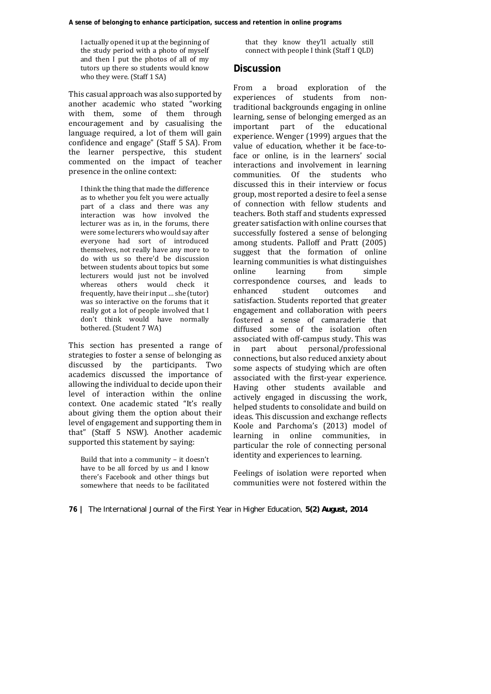I actually opened it up at the beginning of the study period with a photo of myself and then I put the photos of all of my tutors up there so students would know who they were. (Staff 1 SA)

This casual approach was also supported by another academic who stated "working with them, some of them through encouragement and by casualising the language required, a lot of them will gain confidence and engage" (Staff 5 SA). From the learner perspective, this student commented on the impact of teacher presence in the online context:

I think the thing that made the difference as to whether you felt you were actually part of a class and there was any interaction was how involved the lecturer was as in, in the forums, there were some lecturers who would say after everyone had sort of introduced themselves, not really have any more to do with us so there'd be discussion between students about topics but some lecturers would just not be involved whereas others would check it frequently, have their input ... she (tutor) was so interactive on the forums that it really got a lot of people involved that I don't think would have normally bothered. (Student 7 WA)

This section has presented a range of strategies to foster a sense of belonging as discussed by the participants. Two academics discussed the importance of allowing the individual to decide upon their level of interaction within the online context. One academic stated "It's really about giving them the option about their level of engagement and supporting them in that" (Staff 5 NSW). Another academic supported this statement by saying:

Build that into a community  $-$  it doesn't have to be all forced by us and I know there's Facebook and other things but somewhere that needs to be facilitated

that they know they'll actually still connect with people I think (Staff 1 QLD)

## **Discussion**

From a broad exploration of the experiences of students from nontraditional backgrounds engaging in online learning, sense of belonging emerged as an important part of the educational experience. Wenger (1999) argues that the value of education, whether it be face-toface or online, is in the learners' social interactions and involvement in learning communities. Of the students who discussed this in their interview or focus group, most reported a desire to feel a sense of connection with fellow students and teachers. Both staff and students expressed greater satisfaction with online courses that successfully fostered a sense of belonging among students. Palloff and Pratt (2005) suggest that the formation of online learning communities is what distinguishes online learning from simple correspondence courses, and leads to enhanced student outcomes and satisfaction. Students reported that greater engagement and collaboration with peers fostered a sense of camaraderie that diffused some of the isolation often associated with off-campus study. This was in part about personal/professional connections, but also reduced anxiety about some aspects of studying which are often associated with the first-year experience. Having other students available and actively engaged in discussing the work, helped students to consolidate and build on ideas. This discussion and exchange reflects Koole and Parchoma's (2013) model of learning in online communities, in particular the role of connecting personal identity and experiences to learning.

Feelings of isolation were reported when communities were not fostered within the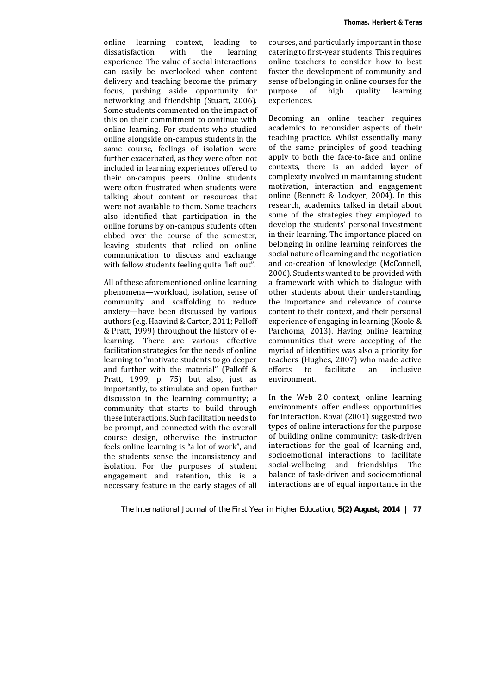online learning context, leading to dissatisfaction with the learning experience. The value of social interactions can easily be overlooked when content delivery and teaching become the primary focus, pushing aside opportunity for networking and friendship (Stuart, 2006). Some students commented on the impact of this on their commitment to continue with online learning. For students who studied online alongside on-campus students in the same course, feelings of isolation were further exacerbated, as they were often not included in learning experiences offered to their on-campus peers. Online students were often frustrated when students were talking about content or resources that were not available to them. Some teachers also identified that participation in the online forums by on-campus students often ebbed over the course of the semester, leaving students that relied on online communication to discuss and exchange with fellow students feeling quite "left out".

All of these aforementioned online learning phenomena—workload, isolation, sense of community and scaffolding to reduce anxiety—have been discussed by various authors (e.g. Haavind & Carter, 2011; Palloff & Pratt, 1999) throughout the history of elearning. There are various effective facilitation strategies for the needs of online learning to "motivate students to go deeper and further with the material" (Palloff  $&$ Pratt, 1999, p. 75) but also, just as importantly, to stimulate and open further discussion in the learning community; a community that starts to build through these interactions. Such facilitation needs to be prompt, and connected with the overall course design, otherwise the instructor feels online learning is "a lot of work", and the students sense the inconsistency and isolation. For the purposes of student engagement and retention, this is a necessary feature in the early stages of all courses, and particularly important in those catering to first-year students. This requires online teachers to consider how to best foster the development of community and sense of belonging in online courses for the purpose of high quality learning experiences. 

Becoming an online teacher requires academics to reconsider aspects of their teaching practice. Whilst essentially many of the same principles of good teaching apply to both the face-to-face and online contexts, there is an added layer of complexity involved in maintaining student motivation, interaction and engagement online (Bennett & Lockyer, 2004). In this research, academics talked in detail about some of the strategies they employed to develop the students' personal investment in their learning. The importance placed on belonging in online learning reinforces the social nature of learning and the negotiation and co-creation of knowledge (McConnell, 2006). Students wanted to be provided with a framework with which to dialogue with other students about their understanding, the importance and relevance of course content to their context, and their personal experience of engaging in learning (Koole & Parchoma, 2013). Having online learning communities that were accepting of the myriad of identities was also a priority for teachers (Hughes, 2007) who made active efforts to facilitate an inclusive environment. 

In the Web 2.0 context, online learning environments offer endless opportunities for interaction. Rovai (2001) suggested two types of online interactions for the purpose of building online community: task-driven interactions for the goal of learning and, socioemotional interactions to facilitate social-wellbeing and friendships. The balance of task-driven and socioemotional interactions are of equal importance in the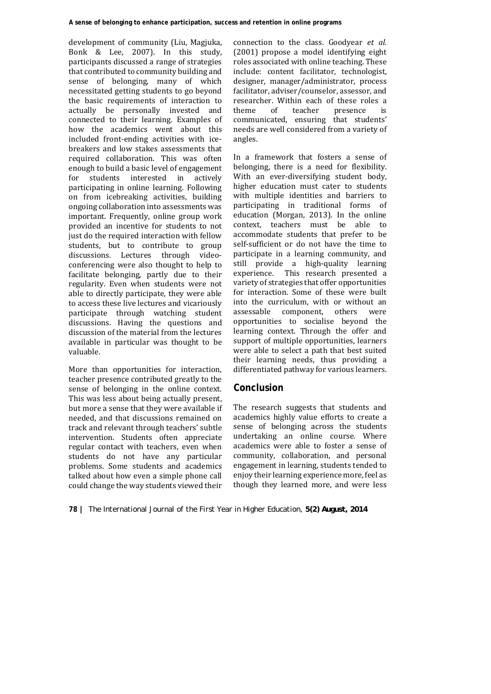development of community (Liu, Magjuka, Bonk & Lee, 2007). In this study, participants discussed a range of strategies that contributed to community building and sense of belonging, many of which necessitated getting students to go beyond the basic requirements of interaction to actually be personally invested and connected to their learning. Examples of how the academics went about this included front-ending activities with icebreakers and low stakes assessments that required collaboration. This was often enough to build a basic level of engagement for students interested in actively participating in online learning. Following on from icebreaking activities, building ongoing collaboration into assessments was important. Frequently, online group work provided an incentive for students to not just do the required interaction with fellow students, but to contribute to group discussions. Lectures through videoconferencing were also thought to help to facilitate belonging, partly due to their regularity. Even when students were not able to directly participate, they were able to access these live lectures and vicariously participate through watching student discussions. Having the questions and discussion of the material from the lectures available in particular was thought to be valuable. 

More than opportunities for interaction, teacher presence contributed greatly to the sense of belonging in the online context. This was less about being actually present. but more a sense that they were available if needed, and that discussions remained on track and relevant through teachers' subtle intervention. Students often appreciate regular contact with teachers, even when students do not have any particular problems. Some students and academics talked about how even a simple phone call could change the way students viewed their

connection to the class. Goodyear *et al.*  $(2001)$  propose a model identifying eight roles associated with online teaching. These include: content facilitator, technologist, designer, manager/administrator, process facilitator, adviser/counselor, assessor, and researcher. Within each of these roles a theme of teacher presence is communicated, ensuring that students' needs are well considered from a variety of angles. 

In a framework that fosters a sense of belonging, there is a need for flexibility. With an ever-diversifying student body, higher education must cater to students with multiple identities and barriers to participating in traditional forms of education (Morgan, 2013). In the online context, teachers must be able to accommodate students that prefer to be self-sufficient or do not have the time to participate in a learning community, and still provide a high-quality learning experience. This research presented a variety of strategies that offer opportunities for interaction. Some of these were built into the curriculum, with or without an assessable component, others were opportunities to socialise beyond the learning context. Through the offer and support of multiple opportunities, learners were able to select a path that best suited their learning needs, thus providing a differentiated pathway for various learners.

# **Conclusion**

The research suggests that students and academics highly value efforts to create a sense of belonging across the students undertaking an online course. Where academics were able to foster a sense of community, collaboration, and personal engagement in learning, students tended to enjoy their learning experience more, feel as though they learned more, and were less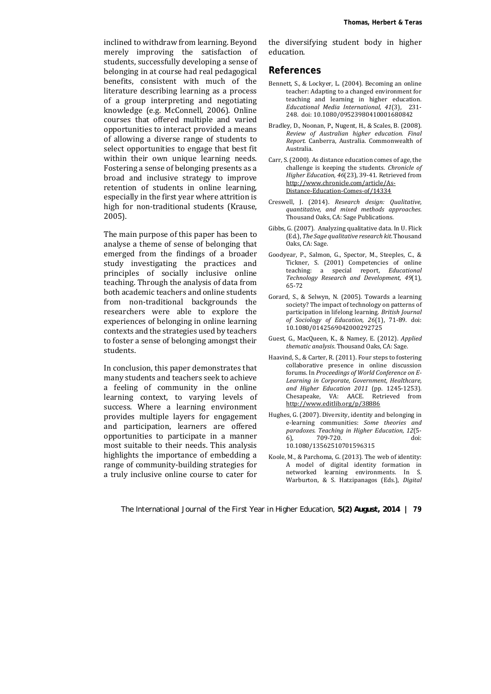inclined to withdraw from learning. Beyond merely improving the satisfaction of students, successfully developing a sense of belonging in at course had real pedagogical benefits, consistent with much of the literature describing learning as a process of a group interpreting and negotiating knowledge (e.g. McConnell, 2006). Online courses that offered multiple and varied opportunities to interact provided a means of allowing a diverse range of students to select opportunities to engage that best fit within their own unique learning needs. Fostering a sense of belonging presents as a broad and inclusive strategy to improve retention of students in online learning. especially in the first year where attrition is high for non-traditional students (Krause, 2005). 

The main purpose of this paper has been to analyse a theme of sense of belonging that emerged from the findings of a broader study investigating the practices and principles of socially inclusive online teaching. Through the analysis of data from both academic teachers and online students from non-traditional backgrounds the researchers were able to explore the experiences of belonging in online learning contexts and the strategies used by teachers to foster a sense of belonging amongst their students. 

In conclusion, this paper demonstrates that many students and teachers seek to achieve a feeling of community in the online learning context, to varying levels of success. Where a learning environment provides multiple layers for engagement and participation, learners are offered opportunities to participate in a manner most suitable to their needs. This analysis highlights the importance of embedding a range of community-building strategies for a truly inclusive online course to cater for the diversifying student body in higher education. 

#### **References**

- Bennett, S., & Lockyer, L. (2004). Becoming an online teacher: Adapting to a changed environment for teaching and learning in higher education. *Educational Media International, 41*(3), 231‐ 248. doi: 10.1080/09523980410001680842
- Bradley, D., Noonan, P., Nugent, H., & Scales, B. (2008). *Review of Australian higher education*. *Final Report.* Canberra, Australia. Commonwealth of Australia.
- Carr, S. (2000). As distance education comes of age, the challenge is keeping the students. *Chronicle of Higher Education, 46*(23), 39-41. Retrieved from http://www.chronicle.com/article/As‐ Distance‐Education‐Comes‐of/14334
- Creswell, J. (2014). *Research design: Qualitative, quantitative, and mixed methods approaches*. Thousand Oaks, CA: Sage Publications.
- Gibbs, G. (2007). Analyzing qualitative data. In U. Flick (Ed.), *The Sage qualitative research kit*. Thousand Oaks, CA: Sage.
- Goodyear, P., Salmon, G., Spector, M., Steeples, C., & Tickner, S. (2001) Competencies of online teaching: a special report, *Educational Technology Research and Development, 49*(1), 65‐72
- Gorard, S., & Selwyn, N. (2005). Towards a learning society? The impact of technology on patterns of participation in lifelong learning. *British Journal of Sociology of Education, 26*(1), 71‐89. doi: 10.1080/0142569042000292725
- Guest, G., MacQueen, K., & Namey, E. (2012). Applied *thematic analysis*. Thousand Oaks, CA: Sage.
- Haavind, S., & Carter, R. (2011). Four steps to fostering collaborative presence in online discussion forums. In *Proceedings of World Conference on E‐ Learning in Corporate, Government, Healthcare, and Higher Education 2011* (pp. 1245‐1253). Chesapeake, VA: AACE. Retrieved from http://www.editlib.org/p/38886
- Hughes, G. (2007). Diversity, identity and belonging in e‐learning communities: *Some theories and paradoxes. Teaching in Higher Education, 12*(5‐ 6), 709-720. doi: 10.1080/13562510701596315
- Koole, M., & Parchoma, G. (2013). The web of identity: A model of digital identity formation in networked learning environments. In S. Warburton, & S. Hatzipanagos (Eds.), *Digital*